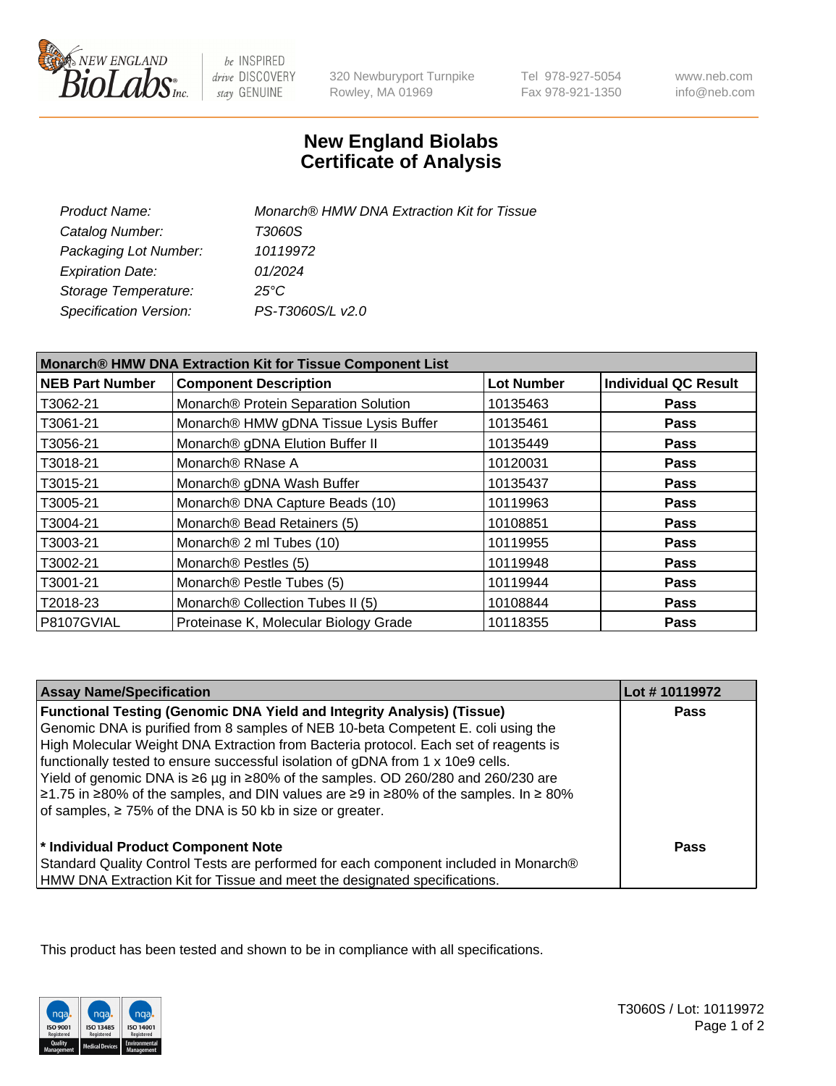

 $be$  INSPIRED drive DISCOVERY stay GENUINE

320 Newburyport Turnpike Rowley, MA 01969

Tel 978-927-5054 Fax 978-921-1350

www.neb.com info@neb.com

## **New England Biolabs Certificate of Analysis**

| Product Name:           | Monarch® HMW DNA Extraction Kit for Tissue |
|-------------------------|--------------------------------------------|
| Catalog Number:         | T3060S                                     |
| Packaging Lot Number:   | 10119972                                   |
| <b>Expiration Date:</b> | 01/2024                                    |
| Storage Temperature:    | $25^{\circ}$ C                             |
| Specification Version:  | PS-T3060S/L v2.0                           |

| Monarch® HMW DNA Extraction Kit for Tissue Component List |                                       |                   |                             |
|-----------------------------------------------------------|---------------------------------------|-------------------|-----------------------------|
| <b>NEB Part Number</b>                                    | <b>Component Description</b>          | <b>Lot Number</b> | <b>Individual QC Result</b> |
| T3062-21                                                  | Monarch® Protein Separation Solution  | 10135463          | Pass                        |
| T3061-21                                                  | Monarch® HMW gDNA Tissue Lysis Buffer | 10135461          | <b>Pass</b>                 |
| T3056-21                                                  | Monarch® gDNA Elution Buffer II       | 10135449          | <b>Pass</b>                 |
| T3018-21                                                  | Monarch <sup>®</sup> RNase A          | 10120031          | <b>Pass</b>                 |
| T3015-21                                                  | Monarch® gDNA Wash Buffer             | 10135437          | <b>Pass</b>                 |
| T3005-21                                                  | Monarch® DNA Capture Beads (10)       | 10119963          | <b>Pass</b>                 |
| T3004-21                                                  | Monarch® Bead Retainers (5)           | 10108851          | <b>Pass</b>                 |
| T3003-21                                                  | Monarch <sup>®</sup> 2 ml Tubes (10)  | 10119955          | <b>Pass</b>                 |
| T3002-21                                                  | Monarch® Pestles (5)                  | 10119948          | <b>Pass</b>                 |
| T3001-21                                                  | Monarch <sup>®</sup> Pestle Tubes (5) | 10119944          | <b>Pass</b>                 |
| T2018-23                                                  | Monarch® Collection Tubes II (5)      | 10108844          | Pass                        |
| P8107GVIAL                                                | Proteinase K, Molecular Biology Grade | 10118355          | <b>Pass</b>                 |

| <b>Assay Name/Specification</b>                                                                                                                                                                                                                                                                                                                                                                                                                                                                                                                                                                     | Lot #10119972 |
|-----------------------------------------------------------------------------------------------------------------------------------------------------------------------------------------------------------------------------------------------------------------------------------------------------------------------------------------------------------------------------------------------------------------------------------------------------------------------------------------------------------------------------------------------------------------------------------------------------|---------------|
| <b>Functional Testing (Genomic DNA Yield and Integrity Analysis) (Tissue)</b><br>Genomic DNA is purified from 8 samples of NEB 10-beta Competent E. coli using the<br>High Molecular Weight DNA Extraction from Bacteria protocol. Each set of reagents is<br>functionally tested to ensure successful isolation of gDNA from 1 x 10e9 cells.<br>  Yield of genomic DNA is ≥6 µg in ≥80% of the samples. OD 260/280 and 260/230 are<br>$\geq$ 1.75 in ≥80% of the samples, and DIN values are ≥9 in ≥80% of the samples. In ≥80%<br>of samples, $\geq 75\%$ of the DNA is 50 kb in size or greater. | <b>Pass</b>   |
| <sup>*</sup> Individual Product Component Note<br>Standard Quality Control Tests are performed for each component included in Monarch®<br>HMW DNA Extraction Kit for Tissue and meet the designated specifications.                                                                                                                                                                                                                                                                                                                                                                                 | Pass          |

This product has been tested and shown to be in compliance with all specifications.